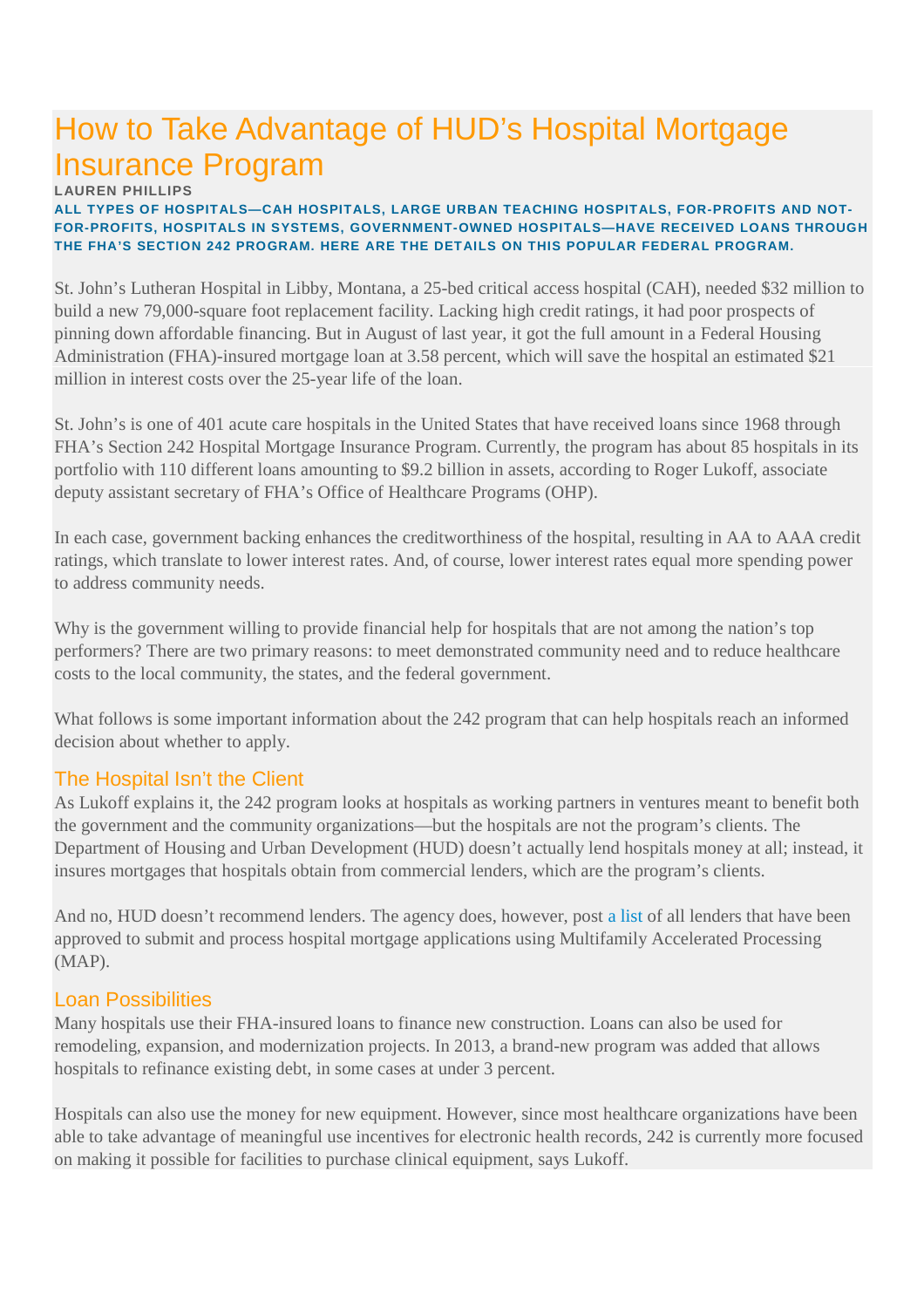# How to Take Advantage of HUD's Hospital Mortgage Insurance Program

#### **LAUREN PHILLIPS**

#### **ALL TYPES OF HOSPITALS—CAH HOSPITALS, LARGE URBAN TEACHING HOSPITALS, FOR-PROFITS AND NOT-FOR-PROFITS, HOSPITALS IN SYSTEMS, GOVERNMENT-OWNED HOSPITALS—HAVE RECEIVED LOANS THROUGH THE FHA'S SECTION 242 PROGRAM. HERE ARE THE DETAILS ON THIS POPULAR FEDERAL PROGRAM.**

St. John's Lutheran Hospital in Libby, Montana, a 25-bed critical access hospital (CAH), needed \$32 million to build a new 79,000-square foot replacement facility. Lacking high credit ratings, it had poor prospects of pinning down affordable financing. But in August of last year, it got the full amount in a Federal Housing Administration (FHA)-insured mortgage loan at 3.58 percent, which will save the hospital an estimated \$21 million in interest costs over the 25-year life of the loan.

St. John's is one of 401 acute care hospitals in the United States that have received loans since 1968 through FHA's Section 242 Hospital Mortgage Insurance Program. Currently, the program has about 85 hospitals in its portfolio with 110 different loans amounting to \$9.2 billion in assets, according to Roger Lukoff, associate deputy assistant secretary of FHA's Office of Healthcare Programs (OHP).

In each case, government backing enhances the creditworthiness of the hospital, resulting in AA to AAA credit ratings, which translate to lower interest rates. And, of course, lower interest rates equal more spending power to address community needs.

Why is the government willing to provide financial help for hospitals that are not among the nation's top performers? There are two primary reasons: to meet demonstrated community need and to reduce healthcare costs to the local community, the states, and the federal government.

What follows is some important information about the 242 program that can help hospitals reach an informed decision about whether to apply.

# The Hospital Isn't the Client

As Lukoff explains it, the 242 program looks at hospitals as working partners in ventures meant to benefit both the government and the community organizations—but the hospitals are not the program's clients. The Department of Housing and Urban Development (HUD) doesn't actually lend hospitals money at all; instead, it insures mortgages that hospitals obtain from commercial lenders, which are the program's clients.

And no, HUD doesn't recommend lenders. The agency does, however, post a list of all lenders that have been approved to submit and process hospital mortgage applications using Multifamily Accelerated Processing (MAP).

### Loan Possibilities

Many hospitals use their FHA-insured loans to finance new construction. Loans can also be used for remodeling, expansion, and modernization projects. In 2013, a brand-new program was added that allows hospitals to refinance existing debt, in some cases at under 3 percent.

Hospitals can also use the money for new equipment. However, since most healthcare organizations have been able to take advantage of meaningful use incentives for electronic health records, 242 is currently more focused on making it possible for facilities to purchase clinical equipment, says Lukoff.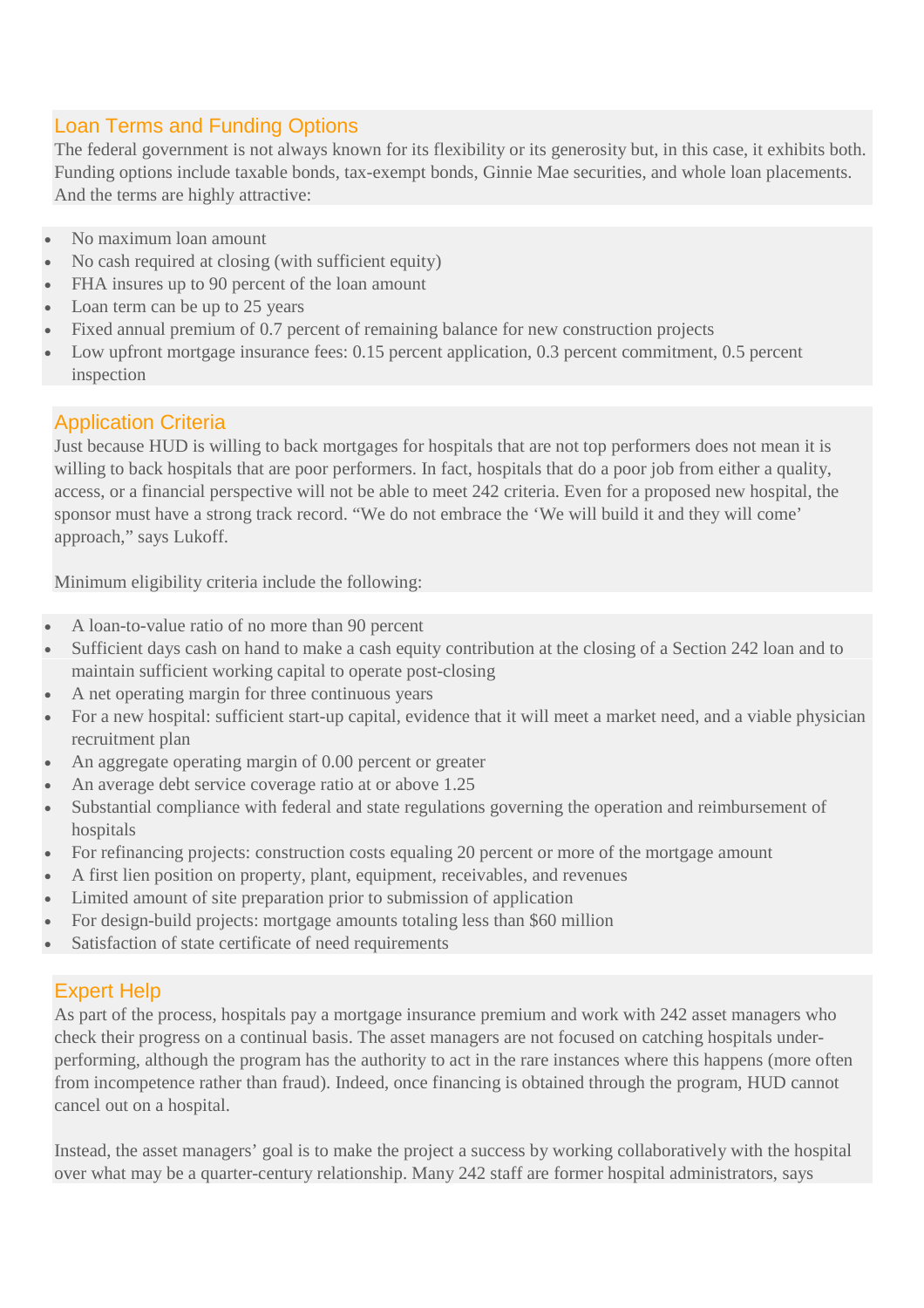# Loan Terms and Funding Options

The federal government is not always known for its flexibility or its generosity but, in this case, it exhibits both. Funding options include taxable bonds, tax-exempt bonds, Ginnie Mae securities, and whole loan placements. And the terms are highly attractive:

- No maximum loan amount
- No cash required at closing (with sufficient equity)
- FHA insures up to 90 percent of the loan amount
- Loan term can be up to 25 years
- Fixed annual premium of 0.7 percent of remaining balance for new construction projects
- Low upfront mortgage insurance fees: 0.15 percent application, 0.3 percent commitment, 0.5 percent inspection

# Application Criteria

Just because HUD is willing to back mortgages for hospitals that are not top performers does not mean it is willing to back hospitals that are poor performers. In fact, hospitals that do a poor job from either a quality, access, or a financial perspective will not be able to meet 242 criteria. Even for a proposed new hospital, the sponsor must have a strong track record. "We do not embrace the 'We will build it and they will come' approach," says Lukoff.

Minimum eligibility criteria include the following:

- A loan-to-value ratio of no more than 90 percent
- Sufficient days cash on hand to make a cash equity contribution at the closing of a Section 242 loan and to maintain sufficient working capital to operate post-closing
- A net operating margin for three continuous years
- For a new hospital: sufficient start-up capital, evidence that it will meet a market need, and a viable physician recruitment plan
- An aggregate operating margin of 0.00 percent or greater
- An average debt service coverage ratio at or above 1.25
- Substantial compliance with federal and state regulations governing the operation and reimbursement of hospitals
- For refinancing projects: construction costs equaling 20 percent or more of the mortgage amount
- A first lien position on property, plant, equipment, receivables, and revenues
- Limited amount of site preparation prior to submission of application
- For design-build projects: mortgage amounts totaling less than \$60 million
- Satisfaction of state certificate of need requirements

# Expert Help

As part of the process, hospitals pay a mortgage insurance premium and work with 242 asset managers who check their progress on a continual basis. The asset managers are not focused on catching hospitals underperforming, although the program has the authority to act in the rare instances where this happens (more often from incompetence rather than fraud). Indeed, once financing is obtained through the program, HUD cannot cancel out on a hospital.

Instead, the asset managers' goal is to make the project a success by working collaboratively with the hospital over what may be a quarter-century relationship. Many 242 staff are former hospital administrators, says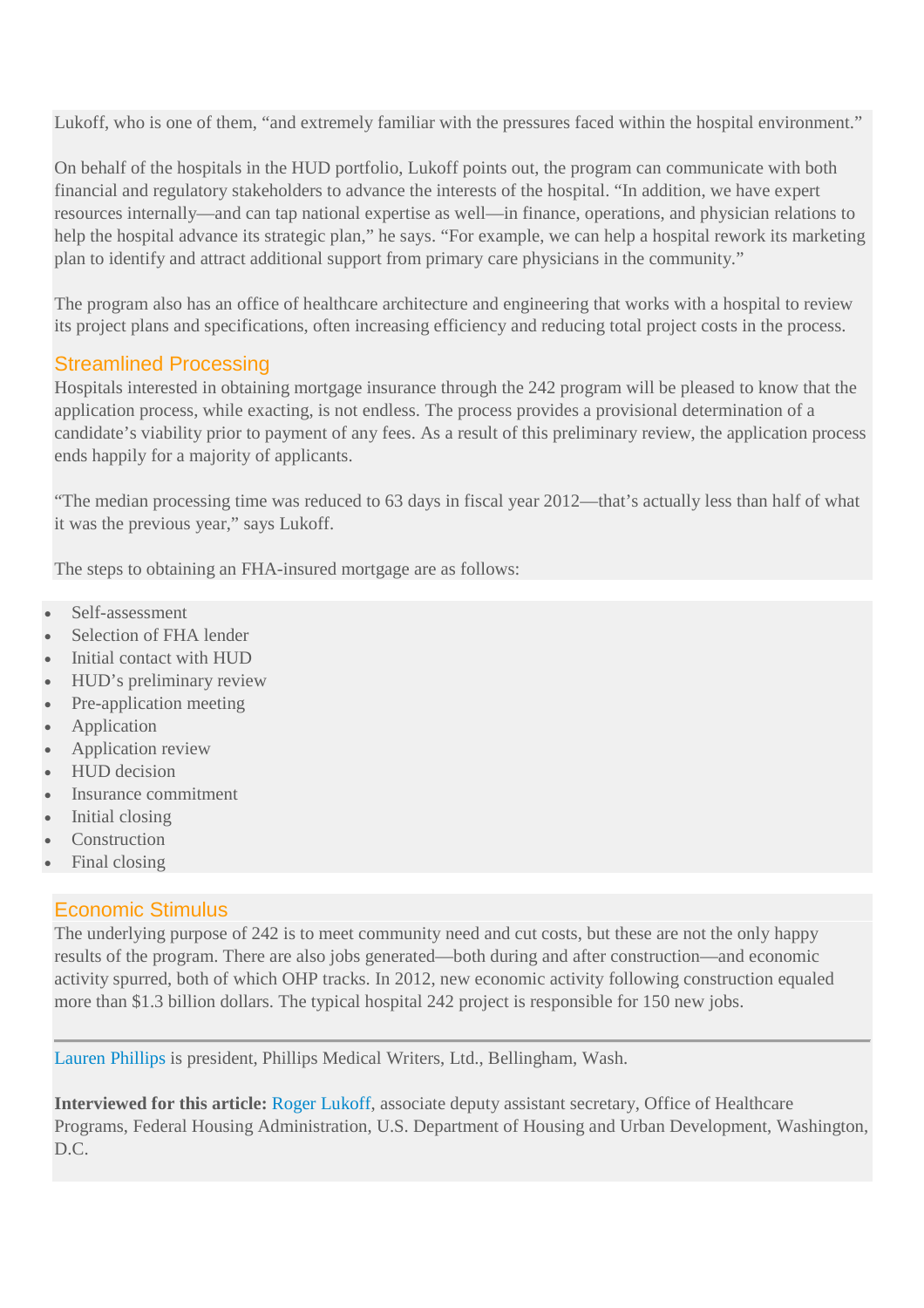Lukoff, who is one of them, "and extremely familiar with the pressures faced within the hospital environment."

On behalf of the hospitals in the HUD portfolio, Lukoff points out, the program can communicate with both financial and regulatory stakeholders to advance the interests of the hospital. "In addition, we have expert resources internally—and can tap national expertise as well—in finance, operations, and physician relations to help the hospital advance its strategic plan," he says. "For example, we can help a hospital rework its marketing plan to identify and attract additional support from primary care physicians in the community."

The program also has an office of healthcare architecture and engineering that works with a hospital to review its project plans and specifications, often increasing efficiency and reducing total project costs in the process.

## Streamlined Processing

Hospitals interested in obtaining mortgage insurance through the 242 program will be pleased to know that the application process, while exacting, is not endless. The process provides a provisional determination of a candidate's viability prior to payment of any fees. As a result of this preliminary review, the application process ends happily for a majority of applicants.

"The median processing time was reduced to 63 days in fiscal year 2012—that's actually less than half of what it was the previous year," says Lukoff.

The steps to obtaining an FHA-insured mortgage are as follows:

- Self-assessment
- Selection of FHA lender
- Initial contact with HUD
- HUD's preliminary review
- Pre-application meeting
- Application
- Application review
- HUD decision
- Insurance commitment
- Initial closing
- **Construction**
- Final closing

### Economic Stimulus

The underlying purpose of 242 is to meet community need and cut costs, but these are not the only happy results of the program. There are also jobs generated—both during and after construction—and economic activity spurred, both of which OHP tracks. In 2012, new economic activity following construction equaled more than \$1.3 billion dollars. The typical hospital 242 project is responsible for 150 new jobs.

Lauren Phillips is president, Phillips Medical Writers, Ltd., Bellingham, Wash.

**Interviewed for this article:** Roger Lukoff, associate deputy assistant secretary, Office of Healthcare Programs, Federal Housing Administration, U.S. Department of Housing and Urban Development, Washington, D.C.